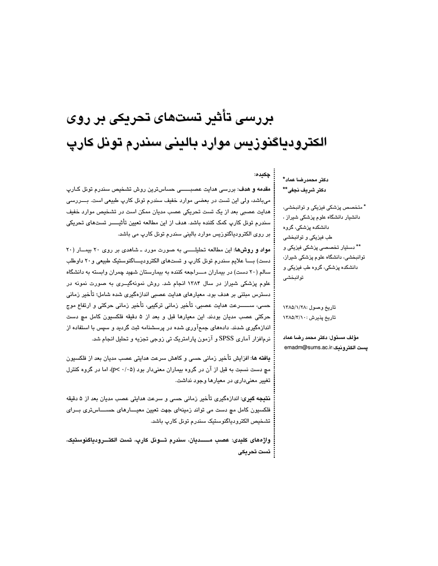# بررسی تأثیر تستهای تحریکی بر روی الكترودياگنوزيس موارد باليني سندرم تونل كارپ

دكتر محمدرضا عماد\* دكتر شريف نجفي\*\*

جكىدە:

\* متخصص پزشکی فیزیکی و توانبخشی، دانشیار دانشگاه علوم پزشکی شیراز ، دانشکده پزشکی، گروه طب فیزیکی و توانبخشی \*\* دستيار تخصصي پزشکي فيزيکي و توانبخشی، دانشگاه علوم پزشکی شیراز، دانشکده پزشکی، گروه طب فیزیکی و توانبخشي

تاريخ وصول :١٣٨٥/١/٢٨ تاریخ پذیرش : ۱۳۸۵/۲/۱۰

مؤلف مسئول: دكتر محمد رضا عماد يست الكترونيك:emadm@sums.ac.ir

مقدمه و هدف: بررسی هدایت عصبــــــی حساسترین روش تشخیص سندرم تونل کـارپ میباشد، ولی این تست در بعضی موارد خفیف سندرم تونل کارپ طبیعی است. بــــررسی هدایت عصبی بعد از یک تست تحریکی عصب مدیان ممکن است در تشخیص موارد خفیف سندرم تونل کارپ کمک کننده باشد. هدف از این مطالعه تعیین تأثیـــــر تستهای تحریکی بر روی الکترودیاگنوزیس موارد بالینی سندرم تونل کارپ می باشد.

مواد و روشها: این مطالعه تحلیلــــی به صورت مورد ـ شاهدی بر روی ٢٠ بیمــار (٢٠ دست) بـــا علايم سندرم تونل كارپ و تستهاى الكتروديـــاگنوستيک طبيعي و٢٠ داوطلب سالم (۲۰ دست) در بیماران مـــراجعه کننده به بیمارستان شهید چمران وابسته به دانشگاه علوم پزشکی شیراز در سال ۱۳۸۴ انجام شد. روش نمونهگیــری به صورت نمونه در دسترس مبتنی بر هدف بود. معیارهای هدایت عصبی اندازهگیری شده شامل؛ تأخیر زمانی حسی، ســـــــــرعت هدایت عصبی، تأخیر زمانی ترکیبی، تأخیر زمانی حرکتی و ارتفاع موج حرکتی عصب مدیان بودند. این معیارها قبل و بعد از ۵ دقیقه فلکسیون کامل مچ دست اندازهگیری شدند. دادههای جمعآوری شده در پرسشنامه ثبت گردید و سپس با استفاده از نرمافزار آماري SPSS و آزمون پارامتريک تي زوجي تجزيه و تحليل انجام شد.

**يافته ها: ا**فزايش تأخير زماني حسي و كاهش سرعت هدايتي عصب مديان بعد از فلكسيون مچ دست نسبت به قبل از آن در گروه بیماران معنیدار بود (p< ۰/۰۵)، اما در گروه کنترل تغییر معنیداری در معیارها وجود نداشت.

**نتیجه گیری**: اندازهگیری تأخیر زمانی حسی و سرعت هدایتی عصب مدیان بعد از ۵ دقیقه فلکسیون کامل مچ دست می تواند زمینهای جهت تعیین معیــــارهای حســــاستری بـــرای تشخيص الكترودياگنوستيک سندرم تونل كارپ باشد.

واژههای کلیدی: عصب مــــدیان، سندرم تـــونل کارپ، تست الکتـــرودیاگنوستیک، ۔ تست تحریکی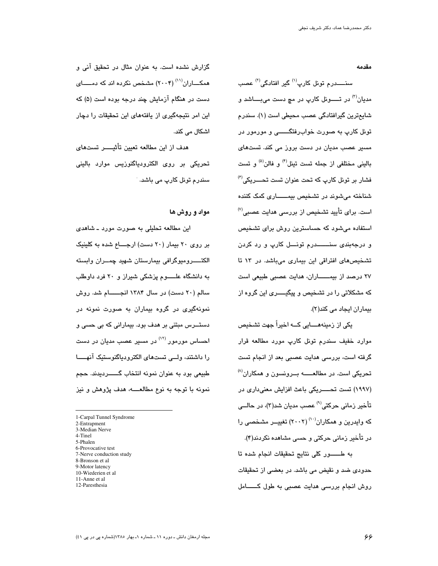مقدمه

سنــــــدرم تونل کارپ<sup>(۱)</sup> گیر افتادگی<sup>(۲)</sup> عصب مديان<sup>(۳)</sup> در تـــــونل کارپ در مچ دست مىبــــاشد و شایعترین گیرافتادگی عصب محیطی است (۱). سندرم تونل کارپ به صورت خوابرفتگـــــــي و مورمور در مسڀر عصب مديان در دست بروز مي کند. تستها*ئ* بالینی مختلفی از جمله تست تینل<sup>(۴)</sup> و فالن<sup>(۵)</sup> و تست  $^{(\prime)}$ فشار بر تونل کارپ که تحت عنوان تست تحــــریکی شناخته میشوند در تشخیص بیمـــــــاری کمک کننده است. برای تأیید تشخیص از بررسی هدایت عصبی<sup>(۷</sup> استفاده میشود که حساسترین روش برای تشخیص و درجهبن*دی* سنــــــدرم تونـــل کارپ و رد کردن تشخیصهای افتراقی این بیماری میباشد. در ۱۳ تا ۲۷ درصد از بیمــــــاران، هدایت عصبی طبیعی است که مشکلاتی را در تشخیص و پیگیـــــری این گروه از بیماران ایجاد می کند(۲).

یکی از زمینههــــایی کـــه اخیراً جهت تشخیص موارد خفیف سندرم تونل کارپ مورد مطالعه قرار گرفته است، بررسی هدایت عصبی بعد از انجام تست تحریکی است. در مطالعــــــه بـــرونسون و همکاران<sup>(۸)</sup> (۱۹۹۷) تست تحــــــریکی باعث افزایش معنیداری در تأخیر زمانی حرکتی<sup>(۹)</sup> عصب مدیان شد(۳)، در حالــ*ی* که وایدرین و همکاران<sup>(۱۰)</sup> (۲۰۰۲) تغییــر مشخصـی را در تآخیر زمانی حرکتی و حسی مشاهده نکردند(۴).

به طــــــــور كلي نتايج تحقيقات انجام شده تا حدودی ضد و نقیض می باشد. در بعضی از تحقیقات روش انجام بررسی هدایت عصبی به طول کــــــامل

گزارش نشده است. به عنوان مثال در تحقیق آنی و همکــــاران<sup>(۱۱)</sup> (۲۰۰۴) مشخص نکرده اند که دمـــــای دست در هنگام آزمایش چند درجه بوده است (۵) که این امر نتیجهگیری از یافتههای این تحقیقات را دچار اشكال مى كند.

هدف از این مطالعه تعیین تأثیـــــر تستهای تحریکی بر روی الکترودیاگنوزیس موارد بالینی سندرم تونل کارپ می باشد. <sup>.</sup>

مواد و روش ها

این مطالعه تحلیلی به صورت مورد ــ شاهدی بر روى ٢٠ بيمار (٢٠ دست) ارجـــاع شده به كلينيك الكتـــــــــروميوگرافي بيمارستان شهيد چمـــــران وابسته به دانشگاه علـــــوم پزشکی شیراز و ۲۰ فرد داوطلب سالم (۲۰ دست) در سال ۱۳۸۴ انجــــــام شد. روش نمونهگیری در گروه بیماران به صورت نمونه در دستـــرس مبتنی بر هدف بود. بیمارانی که بی حسی و احساس مورمور <sup>(۱۲)</sup> در مسیر عصب مدیان در دست را داشتند، ولـــی تستهای الکترودیاگنوستیک آنهـــــا طبیعی بود به عنوان نمونه انتخاب گــــــردیدند. حجم نمونه با توجه به نوع مطالعــــه، هدف پژوهش و نیز

5-Phalen

 $\overline{a}$ 

- 6-Provocative test
- 7-Nerve conduction study
- 8-Bronson et al
- 9-Motor latency
- 10-Wiederien et al
- 11-Anne et al
- 12-Paresthesia

<sup>1-</sup>Carpal Tunnel Syndrome

<sup>2-</sup>Entrapment

<sup>3-</sup>Median Nerve 4-Tinel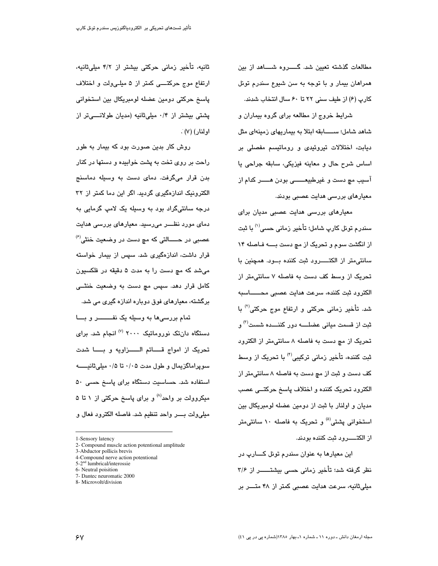مطالعات گذشته تعیین شد. گــــــــروه شــــــاهد از بین همراهان بیمار و با توجه به سن شیوع سندرم تونل كارب (۶) از طيف سنى ٢٢ تا ٤٠ سال انتخاب شدند.

شرایط خروج از مطالعه برای گروه بیماران و شاهد شامل؛ ســــــابقه ابتلا به بیماریهای زمینهای مثل دیابت، اختلالات تیروئیدی و روماتیسم مفصلی بر اساس شرح حال و معاينه فيزيكي، سابقه جراحي يا آسيب مچ دست و غيرطبيعـــــــي بودن هـــــر كدام از معیارهای بررسی هدایت عصبی بودند.

معیارهای بررسی هدایت عصبی مدیان برای سندرم تونل کارپ شامل؛ تأخیر زمانی حسی<sup>(۱)</sup> با ثبت از انگشت سوم و تحریک از مچ دست بـــه فـاصله ۱۴ سانتی متر از الکتـــــرود ثبت کننده بـــود. همچنین با تحریک از وسط کف دست به فاصله ۷ سانتی متر از الكترود ثبت كننده، سرعت هدايت عصبي محـــــاسبه شد. تأخیر زمانی حرکتی و ارتفاع موج حرکتی<sup>(۲)</sup> با ثبت از قسمت میان*ی* عضلــــه دور کننــــده شست<sup>(۳)</sup> و تحریک از مچ دست به فاصله ۸ سانتی،متر از الکترود ثبت کننده، تأخیر زمانی ترکیبی<sup>(۴)</sup> با تحریک از وسط کف دست و ثبت از مچ دست به فاصله ۸ سانتی، تر از الكترود تحريک کننده و اختلاف پاسخ حرکتــی عصب مدیان و اولنار با ثبت از دومین عضله لومبریکال بین استخوانی پشتی<sup>(۵</sup>) و تحریک به فاصله ۱۰ سانتی،متر از الکتـــــرود ثبت کننده بودند.

اين معيارها به عنوان سندرم تونل کــــارپ در نظر گرفته شد؛ تأخیر زمانی حسی بیشتــــــر از ۳/۶ میلی ثانیه، سرعت هدایت عصبی کمتر از ۴۸ متـــر بر

ثانیه، تأخیر زمانی حرکتی بیشتر از ۴/۲ میلیثانیه، ارتفاع موج حرکتـــــی کمتر از ۵ میلــیولت و اختلاف پاسخ حرکتی دومین عضله لومبریکال بین استخوانی پشتی بیشتر از ۰/۴ میلیثانیه (مدیان طولانسمیتر از اولنار) (۷) .

روش کار بدین صورت بود که بیمار به طور راحت بر روی تخت به پشت خوابیده و دستها در کنار بدن قرار میگرفت. دمای دست به وسیله دماسنج الکترونیک اندازهگیری گردید. اگر این دما کمتر از ۳۲ درجه سانتیگراد بود به وسیله یک لامپ گرمایی به دمای مورد نظـــر میرسید. معیارهای بررسی هدایت عصبي در حـــــالٽي که مڇ دست در وضعيت خنثے،<sup>(۶)</sup> قرار داشت، اندازهگیری شد. سپس از بیمار خواسته میشد که مچ دست را به مدت ۵ دقیقه در فلکسیون کامل قرار دهد. سپس مچ دست به وضعیت خنثــی برگشته، معیارهای فوق دوباره اندازه گیری می شد.

تمام بررسیها به وسیله یک نفـــــــــــر و بــــا دستگاه دانتک نوروماتیک ۲۰۰۰ <sup>(۷)</sup> انجام شد. برای تحريک از امواج قــــائم الـــــزاويه و بــــا شدت سوپراماگزیمال و طول مدت ۰/۰۵ تا ۰/۵ میلیثانیـــــه استفاده شد. حساسیت دستگاه برای پاسخ حسی ۵۰ میکروولت بر واحد<sup>(۸)</sup> و برای پاسخ حرکتی از ۱ تا ۵ ميلي,ولت بـــــر. واحد تنظيم شد. فاصله الكترود فعال و

7- Dantec neuromatic 2000 8- Microvolt/division

<sup>1-</sup>Sensory latency

<sup>2-</sup> Compound muscle action potentional amplitude

<sup>3-</sup>Abductor pollicis brevis

<sup>4-</sup>Compound nerve action potentional

<sup>5-2&</sup>lt;sup>nd</sup> lumbrical/interossie

<sup>6-</sup> Neutral poisition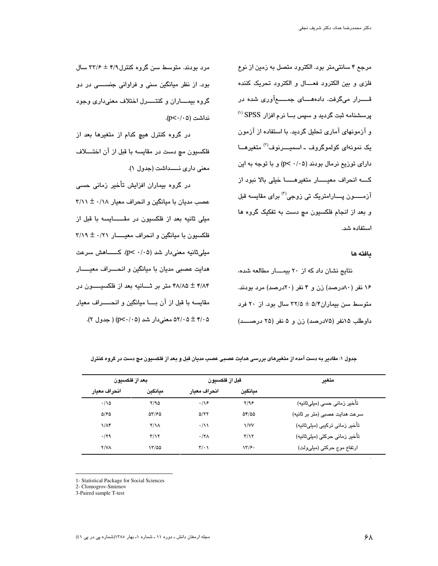مرجع ۴ سانتے،متر بود. الکترود متصل به زمین از نوع فلزی و بین الکترود فعـــال و الکترود تحریک کننده قـــــرار میگرفت. دادههــــای جمــــــمآوری شده در پرسشنامه ثبت گردید و سپس بــا نرم افزار SPSS <sup>(۱)</sup> و آزمونهای آماری تحلیل گردید. با استفاده از آزمون یک نمونهای کولموگروف ـ اسمیــــرنوف<sup>(۲)</sup> متغیرهـــا دارای توزیع نرمال بودند (p< ۰/۰۵) و با توجه به این كه انحراف معيـار متغيرهـا خيلى بالا نبود از آزمـــــون پــــارامتریک تی زوجی<sup>(۳)</sup> برای مقایسه قبل و بعد از انجام فلکسیون مچ دست به تفکیک گروه ها استفاده شد.

#### مافته ها

نتایج نشان داد که از ۲۰ بیمــار مطالعه شده، ۱۶ نفر (۸۰درصد) زن و ۴ نفر (۲۰درصد) مرد بودند. متوسط سن بیماران۵/۴ ± ۳۲/۵ سال بود. از ۲۰ فرد داوطلب ١۵نفر (٧۵درصد) زن و ۵ نفر (٢٥ درصـد)

مرد بودند. متوسط سن گروه کنترل ۴/۹ ± ۳۳/۶ سال بود. از نظر میانگین سنی و فراوانی جنســـی در دو گروه بیمــــاران و کنتـــــرل اختلاف معنیداری وجود نداشت (p<٠/٠۵).

در گروه کنترل هیچ کدام از متغیرها بعد از فلکسیون مچ دست در مقایسه با قبل از آن اختــــلاف معنى دارى نـــداشت (جدول ١).

در گروه بیماران افزایش تأخیر زمانی حسی عصب مدیان با میانگین و انحراف معیار ۲/۱۸ ± ۳/۱۱ ميلي ثانيه بعد از فلكسيون در مقـــــــايسه با قبل از فلکسیون با میانگین و انحراف معیـــــار ۳/۱۹ ± ۰/۲۱ مبلي ثانيه معنى دار شد (p< ·/·۵). كـــــــاهش سرعت هدايت عصبي مديان با ميانگين و انحــــراف معيــــــار ۴۸/۸۵ ± ۴۸/۸۵ متر بر ثــــانیه بعد از فلکسیــــــون در مقايسه با قبل از آن بــــا ميانگين و انـحــــــراف معيار ۵۲/۰۵ ± ۵۲/۰۵ معنی دار شد (p<۰/۰۵) ( جدول ۲).

| بعداز فلكسيون    |                         | قبل از فلكسيون      |                            | متغير                          |
|------------------|-------------------------|---------------------|----------------------------|--------------------------------|
| انحراف معبار     | ميانكين                 | انحراف معبار        | مبانكين                    |                                |
| $\cdot/\sqrt{2}$ | ۲/۹۵                    | $\cdot/\sqrt{2}$    | Y/9F                       | تأخیر زمانی حسی (میلیثانیه)    |
| 5160             | 55165                   | <b>D/77</b>         | $\Delta f / \Delta \Delta$ | سرعت هدایت عصبی (متر بر ثانیه) |
| $1/\Lambda f$    | $Y/\lambda$             | $\cdot/\lambda$     | $\frac{1}{V}$              | تأخیر زمانی ترکیبی (میلیثانیه) |
| ۰/۲۹             | $\mathbf{r}/\mathbf{v}$ | $\cdot$ /۲ $\wedge$ | $\mathbf{r}/\mathbf{v}$    | تأخير زماني حركتي (ميليثانيه)  |
| <b>Y/VA</b>      | ۱۳/۵۵                   | $\mathbf{r}$ .      | ۱۳/۶۰                      | ارتفاع موج حركتي (ميليولت)     |

جدول ۱: مقادیر به دست آمده از متغیرهای بررسی هدایت عصبی عصب مدیان قبل و بعد از فلکسیون مچ دست در گروه کنترل

1- Statistical Package for Social Sciences

2- Clomogrov-Smirnov

3-Paired sample T-test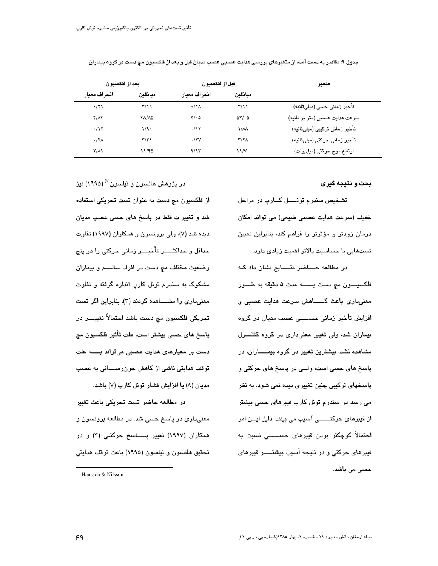| بعد از فلكسيون |                         | قبل از فلكسيون            |                         | متغير                          |
|----------------|-------------------------|---------------------------|-------------------------|--------------------------------|
| انحراف معبار   | ميانكين                 | انحراف معبار              | ميانكين                 |                                |
| $\cdot$ /۲۱    | $\frac{1}{2}$           | $\cdot/\lambda$           | $\mathbf{r}/\mathbf{v}$ | تأخیر زمانی حسی (میلیثانیه)    |
| $f/\Lambda f$  | ۴۸/۸۵                   | $\mathcal{F}/\cdot\Delta$ | $\Delta Y/\cdot \Delta$ | سرعت هدایت عصبی (متر بر ثانیه) |
| $\cdot$ /۱۲    | ۱/۹۰                    | $\cdot/\gamma$            | $\sqrt{\lambda}$        | تأخیر زمانی ترکیبی (میلیثانیه) |
| $\cdot$ /۲۸    | $\mathbf{r}/\mathbf{r}$ | $\cdot$ /۲۷               | Y/Y                     | تأخير زماني حركتي (ميليثانيه)  |
| $Y/\Lambda$    | 11/80                   | Y/9T                      | $\frac{1}{\sqrt{2}}$    | ارتفاع موج حركتي (ميليولت)     |

جدول ۲: مقادیر به دست آمده از م**تغی**رهای بررسی هدایت عصبی عصب مدیان قبل و بعد از فلکسیون مچ دست در گروه بیماران

بحث و نتيجه گيري

تشخيص سندرم تونــــل كــارپ در مراحل خفيف (سرعت هدايت عصبي طبيعي) مي تواند امكان درمان زودتر و مؤثرتر را فراهم کند، بنابراین تعیین تستهایی با حساسیت بالاتر اهمیت زیادی دارد.

در مطالعه حساضر نتــــایج نشان داد کـه فلكسيــــون مج دست بـــــــه مدت ۵ دقيقه به طــــور معنی،داری باعث کــــــاهش سرعت هدایت عصبی و افزایش تأخیر زمانی حســـــی عصب مدیان در گروه بیماران شد، ولی تغییر معنیداری در گروه کنتــــرل مشاهده نشد. بیشترین تغییر در گروه بیمـــــاران، در پاسخ های حسی است، ولــی در پاسخ های حرکتی و پاسخهای ترکیبی چنین تغییری دیده نمی شود. به نظر می رسد در سندرم تونل کارپ فیبرهای حسی بیشتر از فيبرهاي حركتــــــي آسيب مي بينند. دليل ايــن امر احتمالاً کوچکتر بودن فیبرهای حســـــی نسبت به فیبرهای حرکتی و در نتیجه آسیب بیشتـــــر فیبرهای حسی می باشد.

در پژوهش هانسون و نیلسون<sup>(۱)</sup> (۱۹۹۵) نیز از فلکسیون مچ دست به عنوان تست تحریکی استفاده شد و تغییرات فقط در پاسخ های حسی عصب مدیان دیده شد (۷)، ولی برونسون و همکاران (۱۹۹۷) تفاوت حداقل و حداکثـــــر تأخیــــر زمانی حرکتی را در پنج وضعیت مختلف مچ دست در افراد سالسم و بیماران مشکوک به سندرم تونل کارپ اندازه گرفته و تفاوت معنی داری را مشــــاهده کردند (۳). بنابراین اگر تست تحريكي فلكسيون مچ دست باشد احتمالاً تغييــــر در پاسخ های حسی بیشتر است. علت تأثیر فلکسیون مچ دست بر معیارهای هدایت عصبی میتواند بـــــه علت توقف هدایتی ناشی از کاهش خونرســــانی به عصب مدیان (۸) یا افزایش فشار تونل کارپ (۷) باشد.

در مطالعه حاضر تست تحریکی باعث تغییر معنیداری در پاسخ حسی شد. در مطالعه برونسون و همکاران (۱۹۹۷) تغییر پــــاسخ حرکتـی (۳) و در تحقيق هانسون و نيلسون (١٩٩۵) باعث توقف هدايتي

<sup>1-</sup> Hansson & Nilsson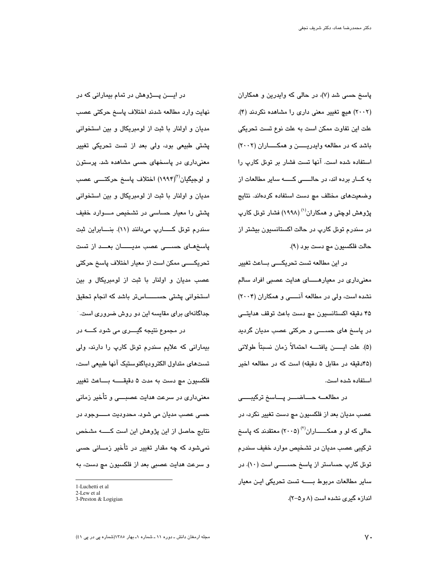پاسخ حسی شد (۷)، در حالی که وایدرین و همکاران (۲۰۰۲) هیچ تغییر معنی داری را مشاهده نکردند (۴). علت این تفاوت ممکن است به علت نوع تست تحریکی باشد که در مطالعه وایدریسن و همکساران (۲۰۰۲) استفاده شده است. آنها تست فشار بر تونل کارپ را به کــار برده اند، در حالـــــی کـــــه سایر مطالعات از وضعیتهای مختلف مچ دست استفاده کردهاند. نتایج پژوهش لوچتی و همکاران<sup>(۱)</sup> (۱۹۹۸) فشار تونل کارپ در سندرم تونل کارپ در حالت اکستانسیون بیشتر از حالت فلکسپون مچ دست بود (۹).

در این مطالعه تست تحریکسی بساعث تغییر معنی،داری در معیارهـــــای هدایت عصبی افراد سالم نشده است، ولی در مطالعه آنـــــی و همکاران (۲۰۰۴) ۴۵ دقیقه اکستانسیون مچ دست باعث توقف هدایتـــی در پاسخ های حســـی و حرکتی عصب مدیان گردید (۵). علت ايـــــــــن يافتــــــــــه احتمالاً زمان نسبتاً طولاني (۴۵دقیقه در مقابل ۵ دقیقه) است که در مطالعه اخیر استفاده شده است.

در مطالعـــه حـــــاضـــــر پـــــاسخ ترکیبــــــی عصب مديان بعد از فلکسيون مڇ دست تغيير نکرد، در حالی که لو و همکــــــاران<sup>(۲)</sup> (۲۰۰۵) معتقدند که پاسخ ترکیبی عصب مدیان در تشخیص موارد خفیف سندرم تونل کارپ حساستر از پاسخ حســــی است (۱۰). در سایر مطالعات مربوط بـــــه تست تحریکی ایـن معیار اندازه گیری نشده است (۸ و ۵–۲).

در ایــــن پــــژوهش در تمام بیمارانی که در نهايت وارد مطالعه شدند اختلاف پاسخ حركتي عصب مدیان و اولنار با ثبت از لومبریکال و بین استخوانی پشتی طبیعی بود، ولی بعد از تست تحریکی تغییر معنیداری در پاسخهای حسی مشاهده شد. پرستون و لوجیگیان<sup>(۳)</sup>(۱۹۹۴) اختلاف پاسخ حرکتـــی عصب مدیان و اولنار با ثبت از لومبریکال و بین استخوانی پشتی را معیار حساسی در تشخیص مـــوارد خفیف سندرم تونل کــــــارپ مىدانند (١١). بنـــــابراين ثبت پاسخهای حســی عصب مدیــــان بعــد از تست تحریکــــی ممکن است از معیار اختلاف پاسخ حرکتی عصب مدیان و اولنار با ثبت از لومبریکال و بین استخوانی پشتی حســـــاستر باشد که انجام تحقیق جداگانهای برای مقایسه این دو روش ضروری است.

بیمارانی که علایم سندرم تونل کارپ را دارند، ولی تستهای متداول الکترودیاگنوستیک آنها طبیعی است، فلكسيون مچ دست به مدت ۵ دقيقــــــه بــــاعث تغيير معنیداری در سرعت هدایت عصبــــی و تأخیر زمانی حسی عصب مدیان می شود. محدودیت مـــــوجود در نتایج حاصل از این پژوهش این است کـــــه مشخص نمیشود که چه مقدار تغییر در تأخیر زمــانی حسی و سرعت هدایت عصبی بعد از فلکسیون مچ دست، به

در مجموع نڌيجه گيــــري مي شود کـــــه در

<sup>1-</sup>Luchetti et al

<sup>2-</sup>Lew et al

<sup>3-</sup>Preston & Logigian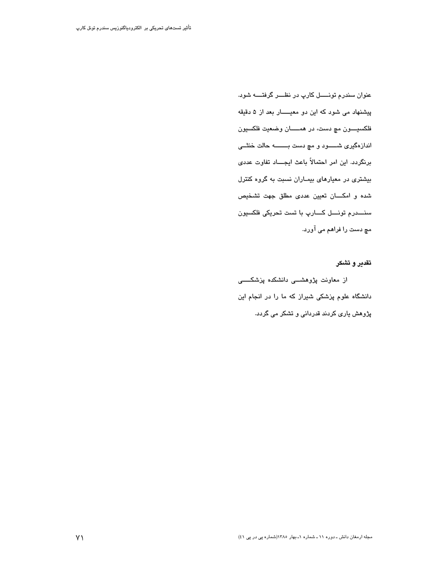عنوان سندرم تونـــــل کارپ در نظـــر گرفتــــه شود. پیشنهاد می شود که این دو معیـــار بعد از ۵ دقیقه فلکسيـــــون مچ دست، در همـــــــان وضعيت فلکسيون اندازهگیری شــــــود و مچ دست بـــــــــــه حالت خنثــــی برنگردد. این امر احتمالاً باعث ایجـــاد تفاوت عددی بیشتری در معیارهای بیماران نسبت به گروه کنترل شده و امکسان تعیین عددی مطلق جهت تشخیص سنــــدرم تونــــل كــــارپ با تست تحريكي فلكسيون مچ دست را فراهم می آورد.

تقدير و تشكر

از معاونت پژوهشـــی دانشکده پزشکـــــی دانشگاه علوم پزشکی شیراز که ما را در انجام این پژوهش پاری کردند قدردانی و تشکر می گردد.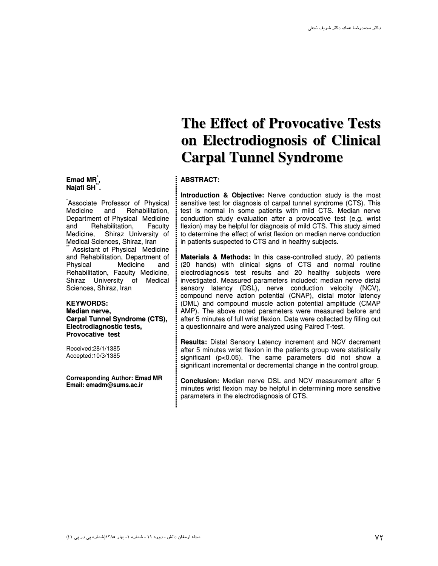#### **Emad MR \* , Najafi SH \*\* .**

\* Associate Professor of Physical Medicine and Rehabilitation, Department of Physical Medicine<br>and Rehabilitation. Faculty Rehabilitation, Faculty Medicine, Shiraz University of Medical Sciences, Shiraz, Iran

\*\* Assistant of Physical Medicine and Rehabilitation, Department of<br>Physical Medicine and **Medicine** Rehabilitation, Faculty Medicine, Shiraz University of Medical Sciences, Shiraz, Iran

#### **KEYWORDS: Median nerve, Carpal Tunnel Syndrome (CTS), Electrodiagnostic tests, Provocative test**

Received:28/1/1385 Accepted:10/3/1385

**Corresponding Author: Emad MR Email: emadm@sums.ac.ir**

## **The Effect of Provocative Tests on Electrodiognosis of Clinical Carpal Tunnel Syndrome**

### **ABSTRACT:**

**Introduction & Objective:** Nerve conduction study is the most sensitive test for diagnosis of carpal tunnel syndrome (CTS). This test is normal in some patients with mild CTS. Median nerve conduction study evaluation after a provocative test (e.g. wrist flexion) may be helpful for diagnosis of mild CTS. This study aimed to determine the effect of wrist flexion on median nerve conduction in patients suspected to CTS and in healthy subjects.

**Materials & Methods:** In this case-controlled study, 20 patients (20 hands) with clinical signs of CTS and normal routine electrodiagnosis test results and 20 healthy subjects were investigated. Measured parameters included: median nerve distal sensory latency (DSL), nerve conduction velocity (NCV), compound nerve action potential (CNAP), distal motor latency (DML) and compound muscle action potential amplitude (CMAP AMP). The above noted parameters were measured before and after 5 minutes of full wrist flexion. Data were collected by filling out a questionnaire and were analyzed using Paired T-test.

**Results:** Distal Sensory Latency increment and NCV decrement after 5 minutes wrist flexion in the patients group were statistically significant (p<0.05). The same parameters did not show a significant incremental or decremental change in the control group.

**Conclusion:** Median nerve DSL and NCV measurement after 5 minutes wrist flexion may be helpful in determining more sensitive parameters in the electrodiagnosis of CTS.